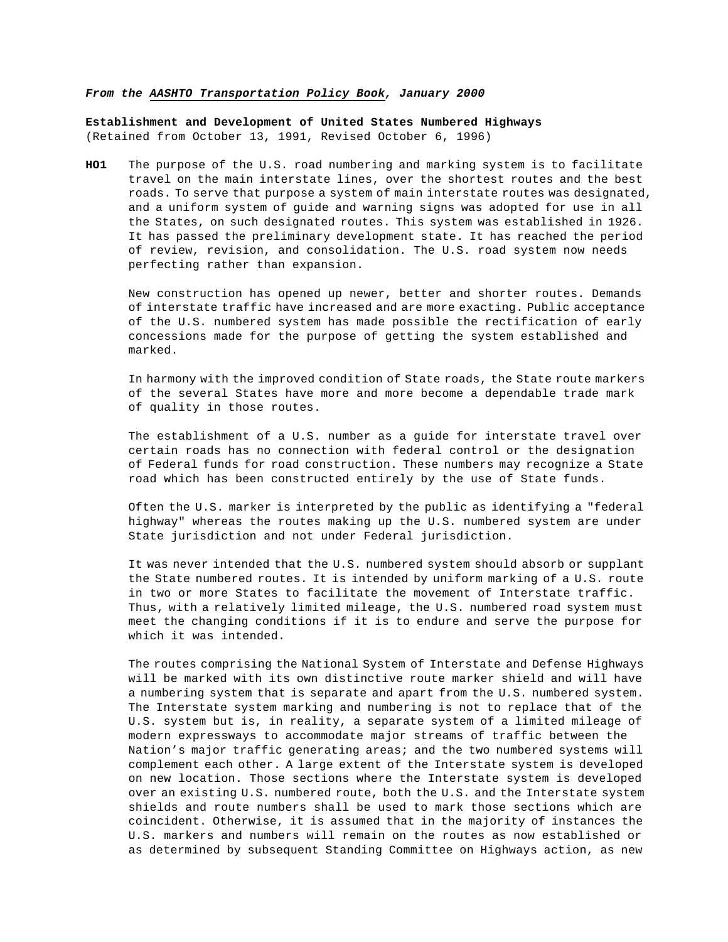## *From the AASHTO Transportation Policy Book, January 2000*

**Establishment and Development of United States Numbered Highways** (Retained from October 13, 1991, Revised October 6, 1996)

**HO1** The purpose of the U.S. road numbering and marking system is to facilitate travel on the main interstate lines, over the shortest routes and the best roads. To serve that purpose a system of main interstate routes was designated, and a uniform system of guide and warning signs was adopted for use in all the States, on such designated routes. This system was established in 1926. It has passed the preliminary development state. It has reached the period of review, revision, and consolidation. The U.S. road system now needs perfecting rather than expansion.

New construction has opened up newer, better and shorter routes. Demands of interstate traffic have increased and are more exacting. Public acceptance of the U.S. numbered system has made possible the rectification of early concessions made for the purpose of getting the system established and marked.

In harmony with the improved condition of State roads, the State route markers of the several States have more and more become a dependable trade mark of quality in those routes.

The establishment of a U.S. number as a guide for interstate travel over certain roads has no connection with federal control or the designation of Federal funds for road construction. These numbers may recognize a State road which has been constructed entirely by the use of State funds.

Often the U.S. marker is interpreted by the public as identifying a "federal highway" whereas the routes making up the U.S. numbered system are under State jurisdiction and not under Federal jurisdiction.

It was never intended that the U.S. numbered system should absorb or supplant the State numbered routes. It is intended by uniform marking of a U.S. route in two or more States to facilitate the movement of Interstate traffic. Thus, with a relatively limited mileage, the U.S. numbered road system must meet the changing conditions if it is to endure and serve the purpose for which it was intended.

The routes comprising the National System of Interstate and Defense Highways will be marked with its own distinctive route marker shield and will have a numbering system that is separate and apart from the U.S. numbered system. The Interstate system marking and numbering is not to replace that of the U.S. system but is, in reality, a separate system of a limited mileage of modern expressways to accommodate major streams of traffic between the Nation's major traffic generating areas; and the two numbered systems will complement each other. A large extent of the Interstate system is developed on new location. Those sections where the Interstate system is developed over an existing U.S. numbered route, both the U.S. and the Interstate system shields and route numbers shall be used to mark those sections which are coincident. Otherwise, it is assumed that in the majority of instances the U.S. markers and numbers will remain on the routes as now established or as determined by subsequent Standing Committee on Highways action, as new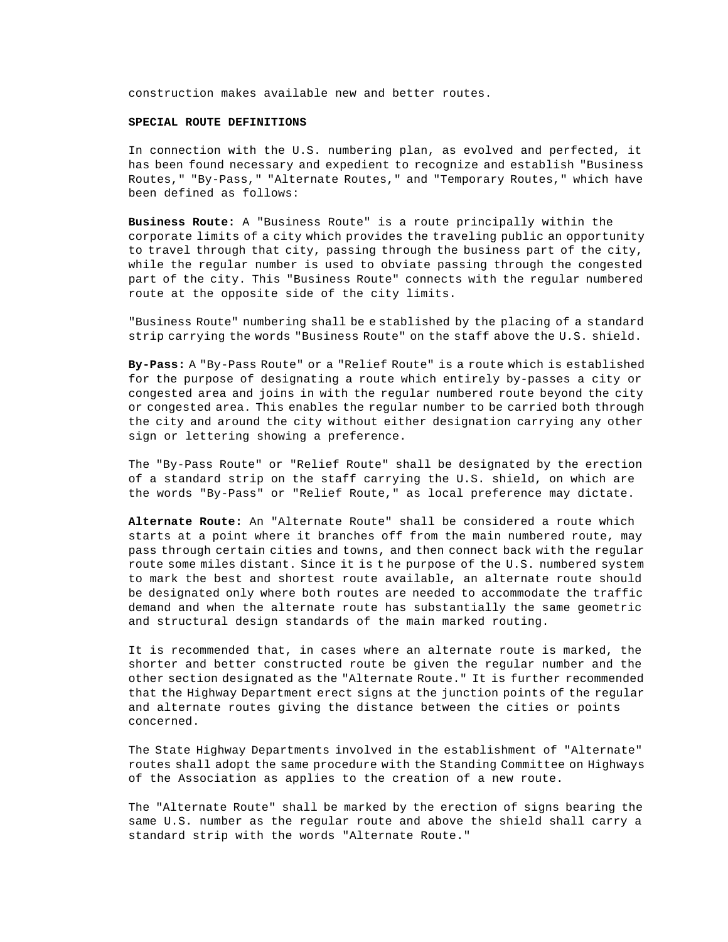construction makes available new and better routes.

## **SPECIAL ROUTE DEFINITIONS**

In connection with the U.S. numbering plan, as evolved and perfected, it has been found necessary and expedient to recognize and establish "Business Routes," "By-Pass," "Alternate Routes," and "Temporary Routes," which have been defined as follows:

**Business Route:** A "Business Route" is a route principally within the corporate limits of a city which provides the traveling public an opportunity to travel through that city, passing through the business part of the city, while the regular number is used to obviate passing through the congested part of the city. This "Business Route" connects with the regular numbered route at the opposite side of the city limits.

"Business Route" numbering shall be e stablished by the placing of a standard strip carrying the words "Business Route" on the staff above the U.S. shield.

**By-Pass:** A "By-Pass Route" or a "Relief Route" is a route which is established for the purpose of designating a route which entirely by-passes a city or congested area and joins in with the regular numbered route beyond the city or congested area. This enables the regular number to be carried both through the city and around the city without either designation carrying any other sign or lettering showing a preference.

The "By-Pass Route" or "Relief Route" shall be designated by the erection of a standard strip on the staff carrying the U.S. shield, on which are the words "By-Pass" or "Relief Route," as local preference may dictate.

**Alternate Route:** An "Alternate Route" shall be considered a route which starts at a point where it branches off from the main numbered route, may pass through certain cities and towns, and then connect back with the regular route some miles distant. Since it is t he purpose of the U.S. numbered system to mark the best and shortest route available, an alternate route should be designated only where both routes are needed to accommodate the traffic demand and when the alternate route has substantially the same geometric and structural design standards of the main marked routing.

It is recommended that, in cases where an alternate route is marked, the shorter and better constructed route be given the regular number and the other section designated as the "Alternate Route." It is further recommended that the Highway Department erect signs at the junction points of the regular and alternate routes giving the distance between the cities or points concerned.

The State Highway Departments involved in the establishment of "Alternate" routes shall adopt the same procedure with the Standing Committee on Highways of the Association as applies to the creation of a new route.

The "Alternate Route" shall be marked by the erection of signs bearing the same U.S. number as the regular route and above the shield shall carry a standard strip with the words "Alternate Route."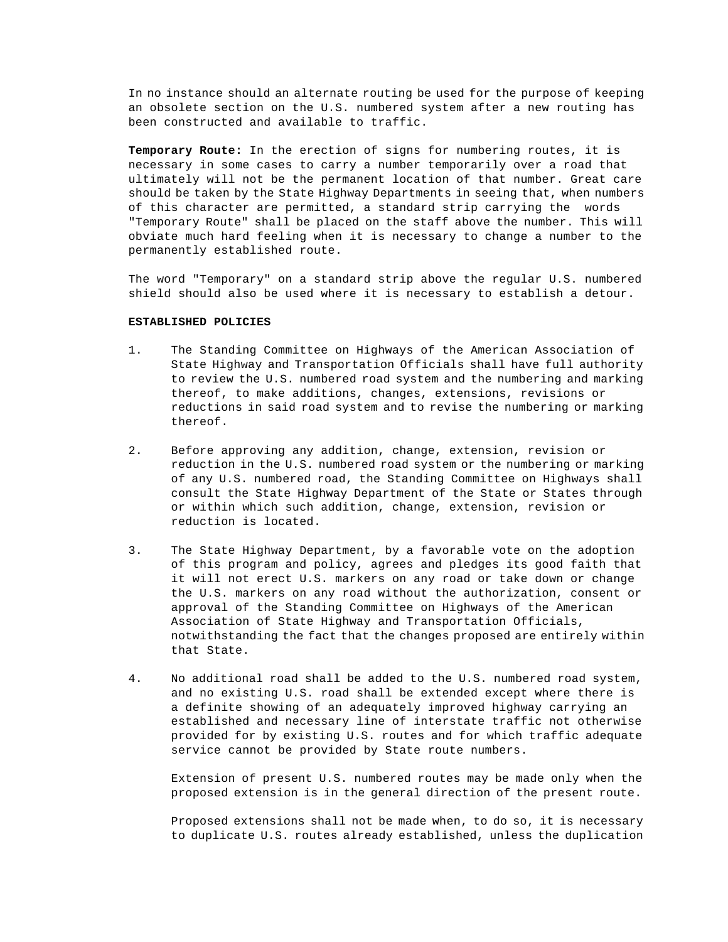In no instance should an alternate routing be used for the purpose of keeping an obsolete section on the U.S. numbered system after a new routing has been constructed and available to traffic.

**Temporary Route:** In the erection of signs for numbering routes, it is necessary in some cases to carry a number temporarily over a road that ultimately will not be the permanent location of that number. Great care should be taken by the State Highway Departments in seeing that, when numbers of this character are permitted, a standard strip carrying the words "Temporary Route" shall be placed on the staff above the number. This will obviate much hard feeling when it is necessary to change a number to the permanently established route.

The word "Temporary" on a standard strip above the regular U.S. numbered shield should also be used where it is necessary to establish a detour.

## **ESTABLISHED POLICIES**

- 1. The Standing Committee on Highways of the American Association of State Highway and Transportation Officials shall have full authority to review the U.S. numbered road system and the numbering and marking thereof, to make additions, changes, extensions, revisions or reductions in said road system and to revise the numbering or marking thereof.
- 2. Before approving any addition, change, extension, revision or reduction in the U.S. numbered road system or the numbering or marking of any U.S. numbered road, the Standing Committee on Highways shall consult the State Highway Department of the State or States through or within which such addition, change, extension, revision or reduction is located.
- 3. The State Highway Department, by a favorable vote on the adoption of this program and policy, agrees and pledges its good faith that it will not erect U.S. markers on any road or take down or change the U.S. markers on any road without the authorization, consent or approval of the Standing Committee on Highways of the American Association of State Highway and Transportation Officials, notwithstanding the fact that the changes proposed are entirely within that State.
- 4. No additional road shall be added to the U.S. numbered road system, and no existing U.S. road shall be extended except where there is a definite showing of an adequately improved highway carrying an established and necessary line of interstate traffic not otherwise provided for by existing U.S. routes and for which traffic adequate service cannot be provided by State route numbers.

Extension of present U.S. numbered routes may be made only when the proposed extension is in the general direction of the present route.

Proposed extensions shall not be made when, to do so, it is necessary to duplicate U.S. routes already established, unless the duplication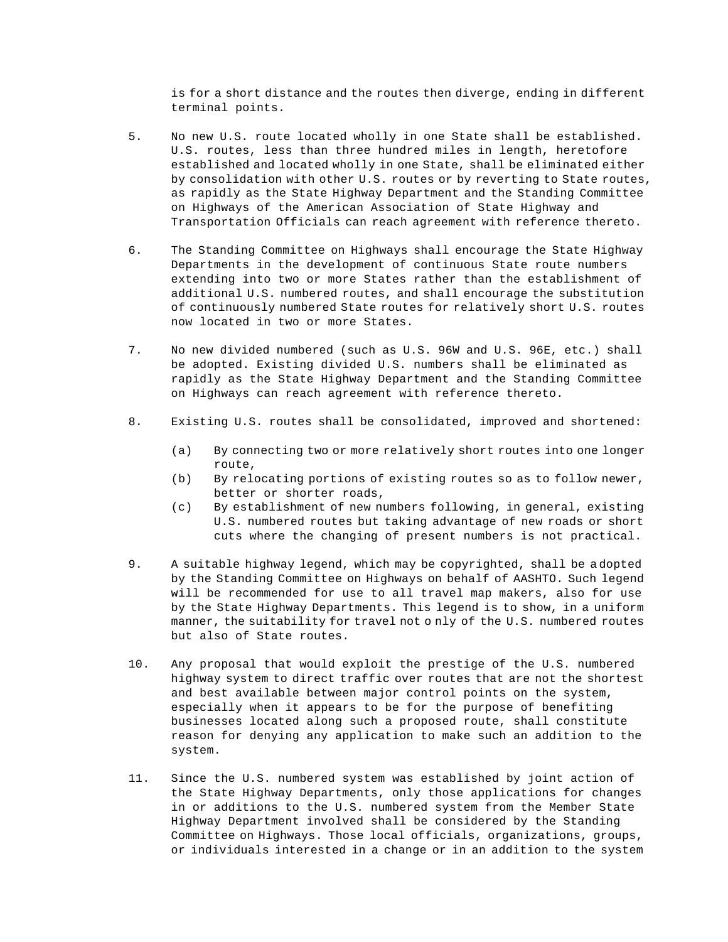is for a short distance and the routes then diverge, ending in different terminal points.

- 5. No new U.S. route located wholly in one State shall be established. U.S. routes, less than three hundred miles in length, heretofore established and located wholly in one State, shall be eliminated either by consolidation with other U.S. routes or by reverting to State routes, as rapidly as the State Highway Department and the Standing Committee on Highways of the American Association of State Highway and Transportation Officials can reach agreement with reference thereto.
- 6. The Standing Committee on Highways shall encourage the State Highway Departments in the development of continuous State route numbers extending into two or more States rather than the establishment of additional U.S. numbered routes, and shall encourage the substitution of continuously numbered State routes for relatively short U.S. routes now located in two or more States.
- 7. No new divided numbered (such as U.S. 96W and U.S. 96E, etc.) shall be adopted. Existing divided U.S. numbers shall be eliminated as rapidly as the State Highway Department and the Standing Committee on Highways can reach agreement with reference thereto.
- 8. Existing U.S. routes shall be consolidated, improved and shortened:
	- (a) By connecting two or more relatively short routes into one longer route,
	- (b) By relocating portions of existing routes so as to follow newer, better or shorter roads,
	- (c) By establishment of new numbers following, in general, existing U.S. numbered routes but taking advantage of new roads or short cuts where the changing of present numbers is not practical.
- 9. A suitable highway legend, which may be copyrighted, shall be a dopted by the Standing Committee on Highways on behalf of AASHTO. Such legend will be recommended for use to all travel map makers, also for use by the State Highway Departments. This legend is to show, in a uniform manner, the suitability for travel not o nly of the U.S. numbered routes but also of State routes.
- 10. Any proposal that would exploit the prestige of the U.S. numbered highway system to direct traffic over routes that are not the shortest and best available between major control points on the system, especially when it appears to be for the purpose of benefiting businesses located along such a proposed route, shall constitute reason for denying any application to make such an addition to the system.
- 11. Since the U.S. numbered system was established by joint action of the State Highway Departments, only those applications for changes in or additions to the U.S. numbered system from the Member State Highway Department involved shall be considered by the Standing Committee on Highways. Those local officials, organizations, groups, or individuals interested in a change or in an addition to the system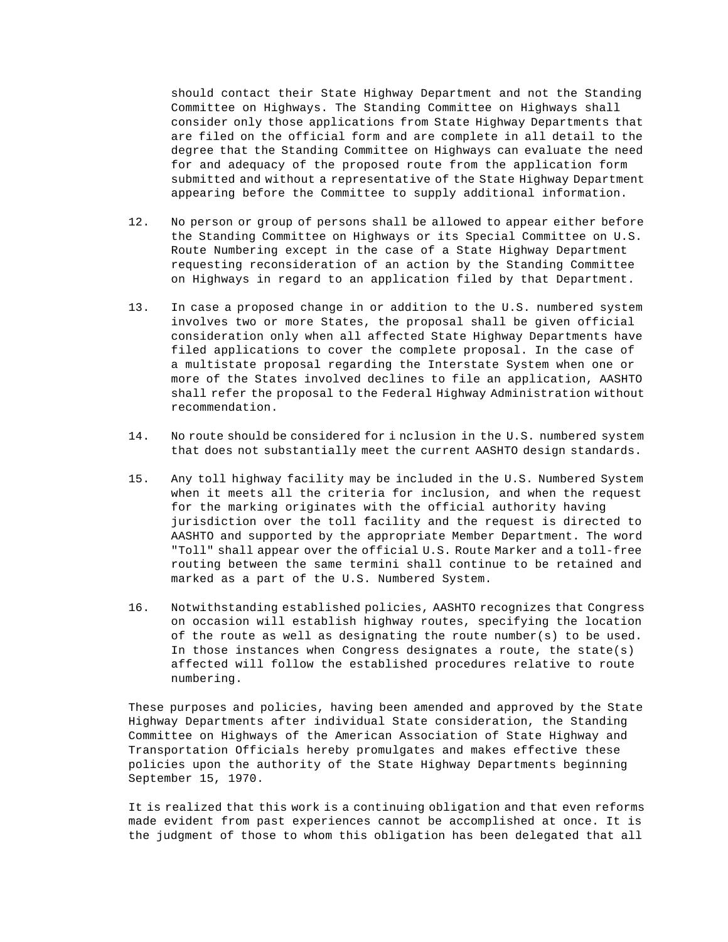should contact their State Highway Department and not the Standing Committee on Highways. The Standing Committee on Highways shall consider only those applications from State Highway Departments that are filed on the official form and are complete in all detail to the degree that the Standing Committee on Highways can evaluate the need for and adequacy of the proposed route from the application form submitted and without a representative of the State Highway Department appearing before the Committee to supply additional information.

- 12. No person or group of persons shall be allowed to appear either before the Standing Committee on Highways or its Special Committee on U.S. Route Numbering except in the case of a State Highway Department requesting reconsideration of an action by the Standing Committee on Highways in regard to an application filed by that Department.
- 13. In case a proposed change in or addition to the U.S. numbered system involves two or more States, the proposal shall be given official consideration only when all affected State Highway Departments have filed applications to cover the complete proposal. In the case of a multistate proposal regarding the Interstate System when one or more of the States involved declines to file an application, AASHTO shall refer the proposal to the Federal Highway Administration without recommendation.
- 14. No route should be considered for i nclusion in the U.S. numbered system that does not substantially meet the current AASHTO design standards.
- 15. Any toll highway facility may be included in the U.S. Numbered System when it meets all the criteria for inclusion, and when the request for the marking originates with the official authority having jurisdiction over the toll facility and the request is directed to AASHTO and supported by the appropriate Member Department. The word "Toll" shall appear over the official U.S. Route Marker and a toll-free routing between the same termini shall continue to be retained and marked as a part of the U.S. Numbered System.
- 16. Notwithstanding established policies, AASHTO recognizes that Congress on occasion will establish highway routes, specifying the location of the route as well as designating the route number(s) to be used. In those instances when Congress designates a route, the state(s) affected will follow the established procedures relative to route numbering.

These purposes and policies, having been amended and approved by the State Highway Departments after individual State consideration, the Standing Committee on Highways of the American Association of State Highway and Transportation Officials hereby promulgates and makes effective these policies upon the authority of the State Highway Departments beginning September 15, 1970.

It is realized that this work is a continuing obligation and that even reforms made evident from past experiences cannot be accomplished at once. It is the judgment of those to whom this obligation has been delegated that all